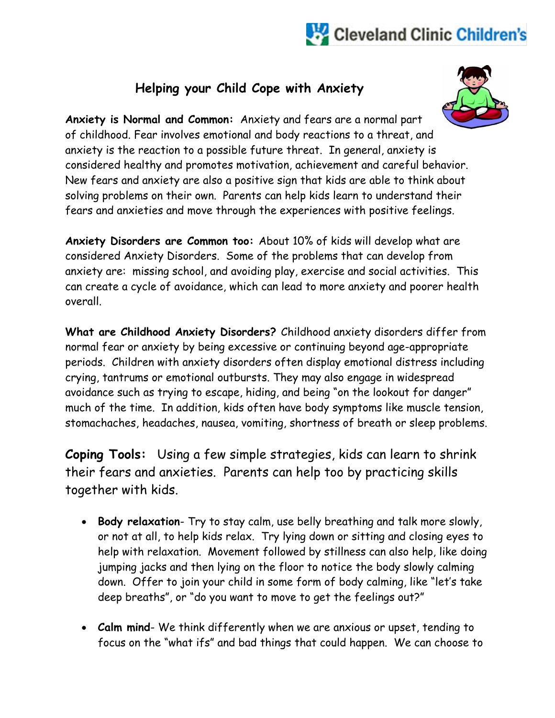## Cleveland Clinic Children's

## **Helping your Child Cope with Anxiety**



**Anxiety is Normal and Common:** Anxiety and fears are a normal part of childhood. Fear involves emotional and body reactions to a threat, and anxiety is the reaction to a possible future threat. In general, anxiety is considered healthy and promotes motivation, achievement and careful behavior. New fears and anxiety are also a positive sign that kids are able to think about solving problems on their own. Parents can help kids learn to understand their fears and anxieties and move through the experiences with positive feelings.

**Anxiety Disorders are Common too:** About 10% of kids will develop what are considered Anxiety Disorders. Some of the problems that can develop from anxiety are: missing school, and avoiding play, exercise and social activities. This can create a cycle of avoidance, which can lead to more anxiety and poorer health overall.

**What are Childhood Anxiety Disorders?** Childhood anxiety disorders differ from normal fear or anxiety by being excessive or continuing beyond age-appropriate periods. Children with anxiety disorders often display emotional distress including crying, tantrums or emotional outbursts. They may also engage in widespread avoidance such as trying to escape, hiding, and being "on the lookout for danger" much of the time. In addition, kids often have body symptoms like muscle tension, stomachaches, headaches, nausea, vomiting, shortness of breath or sleep problems.

**Coping Tools:** Using a few simple strategies, kids can learn to shrink their fears and anxieties. Parents can help too by practicing skills together with kids.

- **Body relaxation** Try to stay calm, use belly breathing and talk more slowly, or not at all, to help kids relax. Try lying down or sitting and closing eyes to help with relaxation. Movement followed by stillness can also help, like doing jumping jacks and then lying on the floor to notice the body slowly calming down. Offer to join your child in some form of body calming, like "let's take deep breaths", or "do you want to move to get the feelings out?"
- **Calm mind** We think differently when we are anxious or upset, tending to focus on the "what ifs" and bad things that could happen. We can choose to